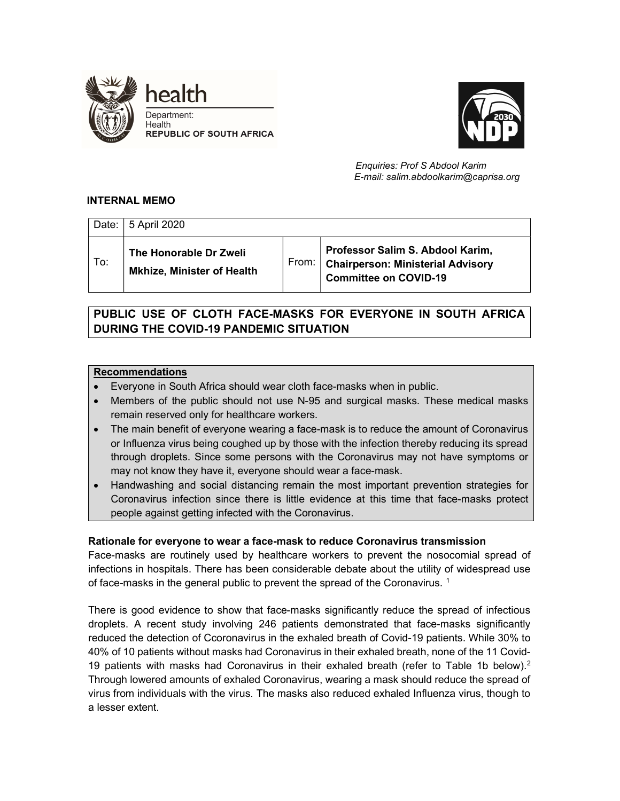



 Enquiries: Prof S Abdool Karim E-mail: salim.abdoolkarim@caprisa.org

## INTERNAL MEMO

|     | Date:   5 April 2020                                        |       |                                                                                                                                |
|-----|-------------------------------------------------------------|-------|--------------------------------------------------------------------------------------------------------------------------------|
| To: | The Honorable Dr Zweli<br><b>Mkhize, Minister of Health</b> | From: | Professor Salim S. Abdool Karim,<br>$\overline{\phantom{a}}$ Chairperson: Ministerial Advisory<br><b>Committee on COVID-19</b> |

# PUBLIC USE OF CLOTH FACE-MASKS FOR EVERYONE IN SOUTH AFRICA DURING THE COVID-19 PANDEMIC SITUATION

## Recommendations

- Everyone in South Africa should wear cloth face-masks when in public.
- Members of the public should not use N-95 and surgical masks. These medical masks remain reserved only for healthcare workers.
- The main benefit of everyone wearing a face-mask is to reduce the amount of Coronavirus or Influenza virus being coughed up by those with the infection thereby reducing its spread through droplets. Since some persons with the Coronavirus may not have symptoms or may not know they have it, everyone should wear a face-mask.
- Handwashing and social distancing remain the most important prevention strategies for Coronavirus infection since there is little evidence at this time that face-masks protect people against getting infected with the Coronavirus.

## Rationale for everyone to wear a face-mask to reduce Coronavirus transmission

Face-masks are routinely used by healthcare workers to prevent the nosocomial spread of infections in hospitals. There has been considerable debate about the utility of widespread use of face-masks in the general public to prevent the spread of the Coronavirus.  $^{\rm 1}$ 

There is good evidence to show that face-masks significantly reduce the spread of infectious droplets. A recent study involving 246 patients demonstrated that face-masks significantly reduced the detection of Ccoronavirus in the exhaled breath of Covid-19 patients. While 30% to 40% of 10 patients without masks had Coronavirus in their exhaled breath, none of the 11 Covid-19 patients with masks had Coronavirus in their exhaled breath (refer to Table 1b below).<sup>2</sup> Through lowered amounts of exhaled Coronavirus, wearing a mask should reduce the spread of virus from individuals with the virus. The masks also reduced exhaled Influenza virus, though to a lesser extent.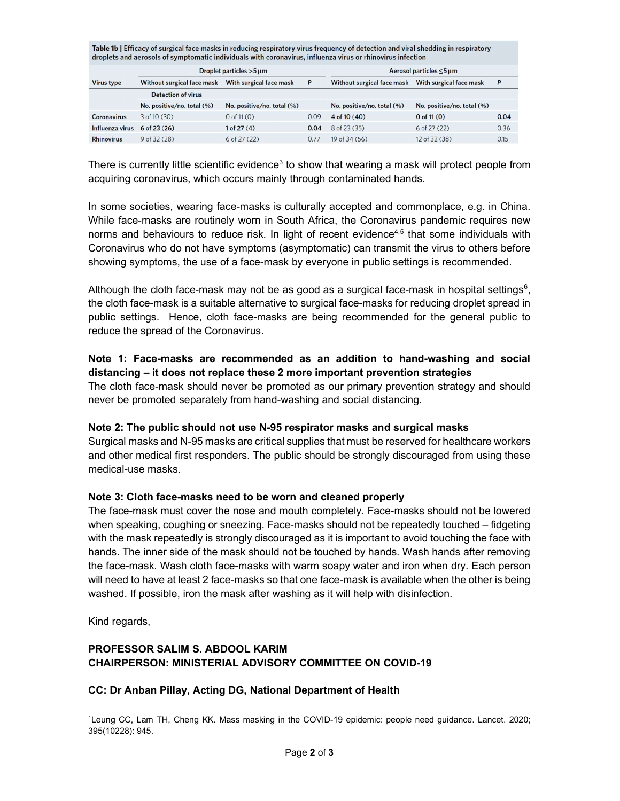| Table 1b   Efficacy of surgical face masks in reducing respiratory virus frequency of detection and viral shedding in respiratory<br>droplets and aerosols of symptomatic individuals with coronavirus, influenza virus or rhinovirus infection |                            |      |                            |                            |      |  |  |  |  |
|-------------------------------------------------------------------------------------------------------------------------------------------------------------------------------------------------------------------------------------------------|----------------------------|------|----------------------------|----------------------------|------|--|--|--|--|
| Droplet particles $>5 \,\mu m$                                                                                                                                                                                                                  |                            |      | Aerosol particles <5 µm    |                            |      |  |  |  |  |
| Without surgical face mask                                                                                                                                                                                                                      | With surgical face mask    | P    | Without surgical face mask | With surgical face mask    | P    |  |  |  |  |
| <b>Detection of virus</b>                                                                                                                                                                                                                       |                            |      |                            |                            |      |  |  |  |  |
| No. positive/no. total (%)                                                                                                                                                                                                                      | No. positive/no. total (%) |      | No. positive/no. total (%) | No. positive/no. total (%) |      |  |  |  |  |
| $3$ of 10 $(30)$                                                                                                                                                                                                                                | $0$ of 11 $(0)$            | 0.09 | $4$ of 10 (40)             | 0 of $11(0)$               | 0.04 |  |  |  |  |
| $6$ of 23 $(26)$                                                                                                                                                                                                                                | 1 of 27(4)                 | 0.04 | 8 of 23 (35)               | $6$ of 27 $(22)$           | 0.36 |  |  |  |  |
| $9$ of 32 (28)                                                                                                                                                                                                                                  | $6$ of 27 $(22)$           | 0.77 | 19 of 34 (56)              | 12 of 32 (38)              | 0.15 |  |  |  |  |
|                                                                                                                                                                                                                                                 |                            |      |                            |                            |      |  |  |  |  |

There is currently little scientific evidence<sup>3</sup> to show that wearing a mask will protect people from acquiring coronavirus, which occurs mainly through contaminated hands.

In some societies, wearing face-masks is culturally accepted and commonplace, e.g. in China. While face-masks are routinely worn in South Africa, the Coronavirus pandemic requires new norms and behaviours to reduce risk. In light of recent evidence<sup>4,5</sup> that some individuals with Coronavirus who do not have symptoms (asymptomatic) can transmit the virus to others before showing symptoms, the use of a face-mask by everyone in public settings is recommended.

Although the cloth face-mask may not be as good as a surgical face-mask in hospital settings<sup>6</sup>, the cloth face-mask is a suitable alternative to surgical face-masks for reducing droplet spread in public settings. Hence, cloth face-masks are being recommended for the general public to reduce the spread of the Coronavirus.

#### Note 1: Face-masks are recommended as an addition to hand-washing and social distancing – it does not replace these 2 more important prevention strategies

The cloth face-mask should never be promoted as our primary prevention strategy and should never be promoted separately from hand-washing and social distancing.

#### Note 2: The public should not use N-95 respirator masks and surgical masks

Surgical masks and N-95 masks are critical supplies that must be reserved for healthcare workers and other medical first responders. The public should be strongly discouraged from using these medical-use masks.

#### Note 3: Cloth face-masks need to be worn and cleaned properly

The face-mask must cover the nose and mouth completely. Face-masks should not be lowered when speaking, coughing or sneezing. Face-masks should not be repeatedly touched – fidgeting with the mask repeatedly is strongly discouraged as it is important to avoid touching the face with hands. The inner side of the mask should not be touched by hands. Wash hands after removing the face-mask. Wash cloth face-masks with warm soapy water and iron when dry. Each person will need to have at least 2 face-masks so that one face-mask is available when the other is being washed. If possible, iron the mask after washing as it will help with disinfection.

Kind regards,

## PROFESSOR SALIM S. ABDOOL KARIM CHAIRPERSON: MINISTERIAL ADVISORY COMMITTEE ON COVID-19

#### CC: Dr Anban Pillay, Acting DG, National Department of Health

<sup>1</sup>Leung CC, Lam TH, Cheng KK. Mass masking in the COVID-19 epidemic: people need guidance. Lancet. 2020; 395(10228): 945.